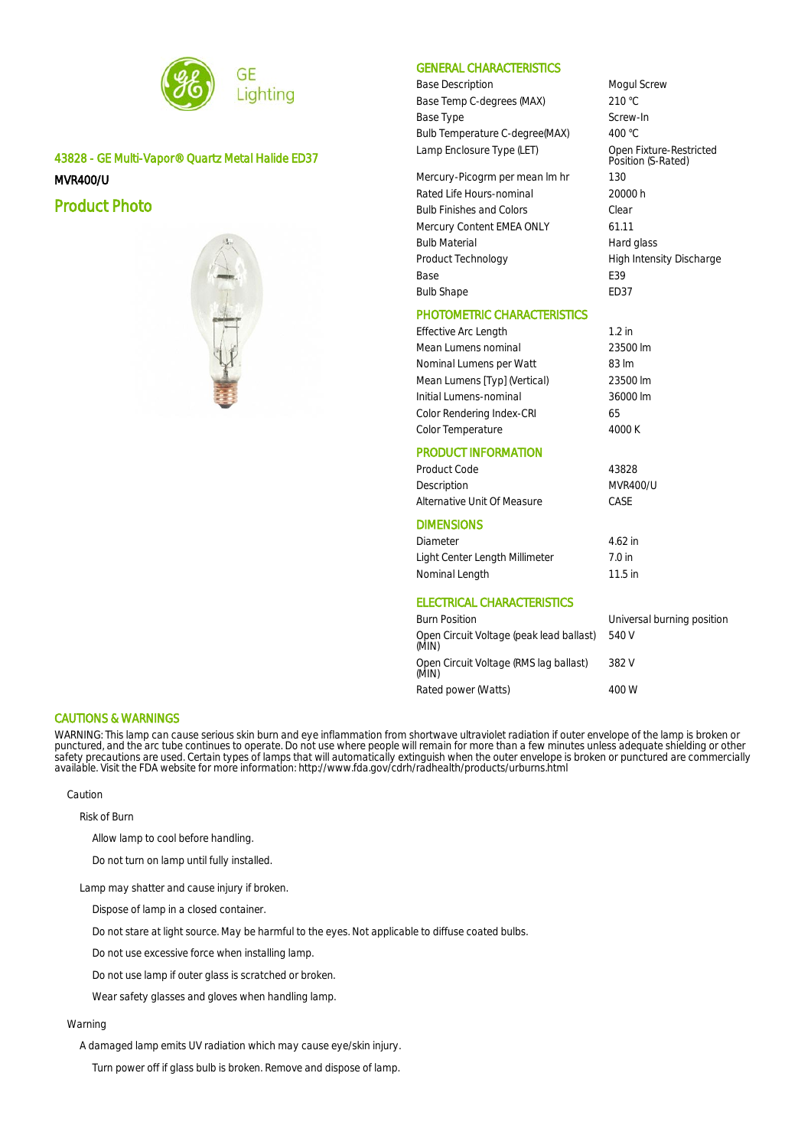

43828 - GE Multi-Vapor® Quartz Metal Halide ED37 MVR400/U

Product Photo



# GENERAL CHARACTERISTICS

Base Description **Mogul Screw** Base Temp C-degrees (MAX) 210 °C Base Type Screw-In Bulb Temperature C-degree(MAX) 400 °C Lamp Enclosure Type (LET)

Open Fixture-Restricted<br>Position (S-Rated)

Mercury-Picogrm per mean Im hr 130 Rated Life Hours-nominal 20000 h Bulb Finishes and Colors Clear Mercury Content EMEA ONLY 61.11 Bulb Material **Hard glass** Product Technology **High Intensity Discharge** Base E39 Bulb Shape ED37

# PHOTOMETRIC CHARACTERISTICS

Effective Arc Length 1.2 in Mean Lumens nominal 23500 lm Nominal Lumens per Watt 83 lm Mean Lumens [Typ] (Vertical) 23500 lm Initial Lumens-nominal 36000 lm Color Rendering Index-CRI 65 Color Temperature 4000 K

### PRODUCT INFORMATION

| Product Code                                      | 43828                      |
|---------------------------------------------------|----------------------------|
| Description                                       | MVR400/U                   |
| Alternative Unit Of Measure                       | CASE                       |
| <b>DIMENSIONS</b>                                 |                            |
| Diameter                                          | $4.62$ in                  |
| Light Center Length Millimeter                    | 7.0 in                     |
| Nominal Length                                    | $11.5$ in                  |
| ELECTRICAL CHARACTERISTICS                        |                            |
| <b>Burn Position</b>                              | Universal burning position |
| Open Circuit Voltage (peak lead ballast)<br>(MIN) | 540 V                      |
| Open Circuit Voltage (RMS lag ballast)            | 382 V                      |

Rated power (Watts) 400 W

#### CAUTIONS & WARNINGS

WARNING: This lamp can cause serious skin burn and eye inflammation from shortwave ultraviolet radiation if outer envelope of the lamp is broken or punctured, and the arc tube continues to operate. Do not use where people will remain for more than a few minutes unless adequate shielding or other safety precautions are used. Certain types of lamps that will automatically extinguish when the outer envelope is broken or punctured are commercially available. Visit the FDA website for more information: http://www.fda.gov/cdrh/radhealth/products/urburns.html

(MIN)

Caution

Risk of Burn

Allow lamp to cool before handling.

Do not turn on lamp until fully installed.

Lamp may shatter and cause injury if broken.

Dispose of lamp in a closed container.

Do not stare at light source. May be harmful to the eyes. Not applicable to diffuse coated bulbs.

Do not use excessive force when installing lamp.

Do not use lamp if outer glass is scratched or broken.

Wear safety glasses and gloves when handling lamp.

### Warning

A damaged lamp emits UV radiation which may cause eye/skin injury.

Turn power off if glass bulb is broken. Remove and dispose of lamp.